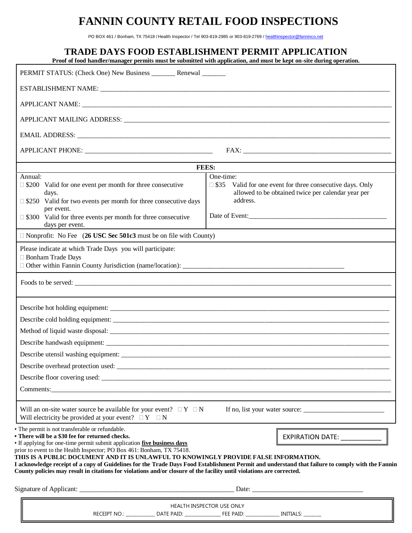# **FANNIN COUNTY RETAIL FOOD INSPECTIONS**

PO BOX 461 / Bonham, TX 75418 / Health Inspector / Tel 903-819-2985 or 903-819-2769 [/ healthinspector@fanninco.net](mailto:healthinspector@fanninco.net)

|                                                                                                                                                                                                                                                                                                                                                | <b>TRADE DAYS FOOD ESTABLISHMENT PERMIT APPLICATION</b><br>Proof of food handler/manager permits must be submitted with application, and must be kept on-site during operation.   |
|------------------------------------------------------------------------------------------------------------------------------------------------------------------------------------------------------------------------------------------------------------------------------------------------------------------------------------------------|-----------------------------------------------------------------------------------------------------------------------------------------------------------------------------------|
| PERMIT STATUS: (Check One) New Business _________ Renewal ________                                                                                                                                                                                                                                                                             |                                                                                                                                                                                   |
|                                                                                                                                                                                                                                                                                                                                                |                                                                                                                                                                                   |
|                                                                                                                                                                                                                                                                                                                                                |                                                                                                                                                                                   |
|                                                                                                                                                                                                                                                                                                                                                |                                                                                                                                                                                   |
|                                                                                                                                                                                                                                                                                                                                                |                                                                                                                                                                                   |
|                                                                                                                                                                                                                                                                                                                                                |                                                                                                                                                                                   |
|                                                                                                                                                                                                                                                                                                                                                | FEES:                                                                                                                                                                             |
|                                                                                                                                                                                                                                                                                                                                                |                                                                                                                                                                                   |
| Annual:<br>$\Box$ \$200 Valid for one event per month for three consecutive<br>days.                                                                                                                                                                                                                                                           | One-time:<br>$\Box$ \$35<br>Valid for one event for three consecutive days. Only<br>allowed to be obtained twice per calendar year per                                            |
| $\Box$ \$250 Valid for two events per month for three consecutive days<br>per event.                                                                                                                                                                                                                                                           | address.                                                                                                                                                                          |
| $\Box$ \$300 Valid for three events per month for three consecutive<br>days per event.                                                                                                                                                                                                                                                         |                                                                                                                                                                                   |
| $\Box$ Nonprofit: No Fee (26 USC Sec 501c3 must be on file with County)                                                                                                                                                                                                                                                                        |                                                                                                                                                                                   |
| Please indicate at which Trade Days you will participate:<br><b>Bonham Trade Days</b>                                                                                                                                                                                                                                                          |                                                                                                                                                                                   |
|                                                                                                                                                                                                                                                                                                                                                |                                                                                                                                                                                   |
|                                                                                                                                                                                                                                                                                                                                                |                                                                                                                                                                                   |
| Describe handwash equipment: ____________                                                                                                                                                                                                                                                                                                      |                                                                                                                                                                                   |
|                                                                                                                                                                                                                                                                                                                                                |                                                                                                                                                                                   |
|                                                                                                                                                                                                                                                                                                                                                |                                                                                                                                                                                   |
|                                                                                                                                                                                                                                                                                                                                                |                                                                                                                                                                                   |
| Comments: Comments: Comments: Comments: Comments: Comments: Comments: Comments: Comments: Comments: Comments: Comments: Comments: Comments: Comments: Comments: Comments: Comments: Comments: Comments: Comments: Comments: Co                                                                                                                 |                                                                                                                                                                                   |
| Will an on-site water source be available for your event? $\Box Y \Box N$<br>Will electricity be provided at your event? $\Box Y \Box N$                                                                                                                                                                                                       |                                                                                                                                                                                   |
| • The permit is not transferable or refundable.<br>• There will be a \$30 fee for returned checks.<br>• If applying for one-time permit submit application five business days<br>prior to event to the Health Inspector; PO Box 461: Bonham, TX 75418.<br>THIS IS A PUBLIC DOCUMENT AND IT IS UNLAWFUL TO KNOWINGLY PROVIDE FALSE INFORMATION. | EXPIRATION DATE: ____________<br>I acknowledge receipt of a copy of Guidelines for the Trade Days Food Establishment Permit and understand that failure to comply with the Fannin |
| County policies may result in citations for violations and/or closure of the facility until violations are corrected.                                                                                                                                                                                                                          |                                                                                                                                                                                   |
|                                                                                                                                                                                                                                                                                                                                                |                                                                                                                                                                                   |
|                                                                                                                                                                                                                                                                                                                                                | HEALTH INSPECTOR USE ONLY                                                                                                                                                         |
|                                                                                                                                                                                                                                                                                                                                                | RECEIPT NO.: _______________ DATE PAID: _____________________ FEE PAID: _________________ INITIALS: _________                                                                     |